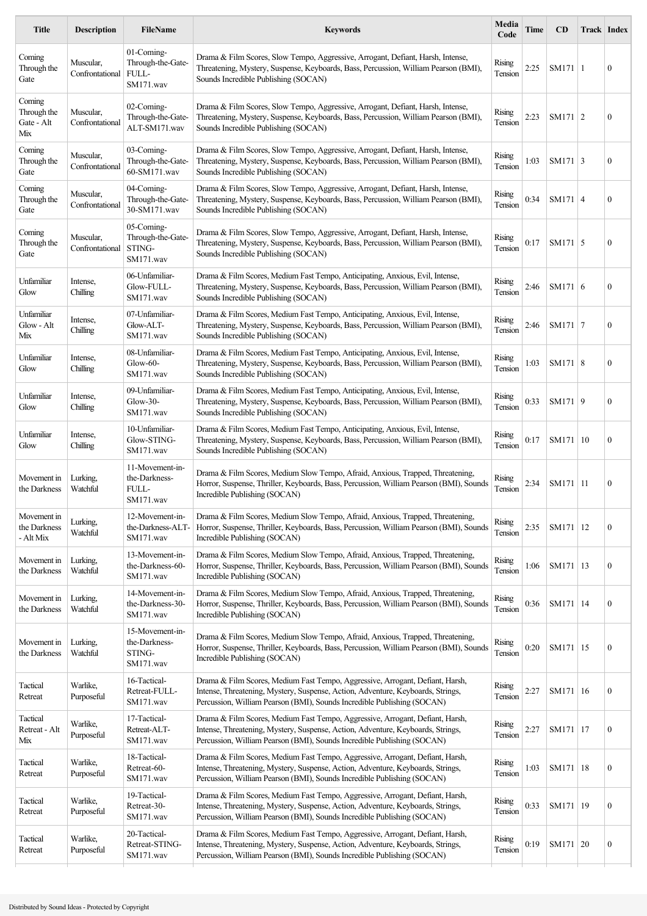| <b>Title</b>                               | <b>Description</b>           | <b>FileName</b>                                         | <b>Keywords</b>                                                                                                                                                                                                                             | Media<br>Code            | Time | CD             | Track   Index |                  |
|--------------------------------------------|------------------------------|---------------------------------------------------------|---------------------------------------------------------------------------------------------------------------------------------------------------------------------------------------------------------------------------------------------|--------------------------|------|----------------|---------------|------------------|
| Coming<br>Through the<br>Gate              | Muscular,<br>Confrontational | 01-Coming-<br>Through-the-Gate-<br>FULL-<br>SM171.wav   | Drama & Film Scores, Slow Tempo, Aggressive, Arrogant, Defiant, Harsh, Intense,<br>Threatening, Mystery, Suspense, Keyboards, Bass, Percussion, William Pearson (BMI),<br>Sounds Incredible Publishing (SOCAN)                              | Rising<br>Tension        | 2:25 | SM171 1        |               | $\boldsymbol{0}$ |
| Coming<br>Through the<br>Gate - Alt<br>Mix | Muscular,<br>Confrontational | 02-Coming-<br>Through-the-Gate-<br>ALT-SM171.wav        | Drama & Film Scores, Slow Tempo, Aggressive, Arrogant, Defiant, Harsh, Intense,<br>Threatening, Mystery, Suspense, Keyboards, Bass, Percussion, William Pearson (BMI),<br>Sounds Incredible Publishing (SOCAN)                              | Rising<br>Tension        | 2:23 | SM171 $ 2$     |               | $\boldsymbol{0}$ |
| Coming<br>Through the<br>Gate              | Muscular,<br>Confrontational | 03-Coming-<br>Through-the-Gate-<br>60-SM171.wav         | Drama & Film Scores, Slow Tempo, Aggressive, Arrogant, Defiant, Harsh, Intense,<br>Threatening, Mystery, Suspense, Keyboards, Bass, Percussion, William Pearson (BMI),<br>Sounds Incredible Publishing (SOCAN)                              | <b>Rising</b><br>Tension | 1:03 | $SM171 \mid 3$ |               | $\boldsymbol{0}$ |
| Coming<br>Through the<br>Gate              | Muscular,<br>Confrontational | 04-Coming-<br>Through-the-Gate-<br>30-SM171.wav         | Drama & Film Scores, Slow Tempo, Aggressive, Arrogant, Defiant, Harsh, Intense,<br>Threatening, Mystery, Suspense, Keyboards, Bass, Percussion, William Pearson (BMI),<br>Sounds Incredible Publishing (SOCAN)                              | <b>Rising</b><br>Tension | 0:34 | SM171 4        |               | $\boldsymbol{0}$ |
| Coming<br>Through the<br>Gate              | Muscular,<br>Confrontational | 05-Coming-<br>Through-the-Gate-<br>STING-<br>SM171.wav  | Drama & Film Scores, Slow Tempo, Aggressive, Arrogant, Defiant, Harsh, Intense,<br>Threatening, Mystery, Suspense, Keyboards, Bass, Percussion, William Pearson (BMI),<br>Sounds Incredible Publishing (SOCAN)                              | Rising<br>Tension        | 0:17 | $SM171$ 5      |               | $\boldsymbol{0}$ |
| Unfamiliar<br>Glow                         | Intense,<br>Chilling         | 06-Unfamiliar-<br>Glow-FULL-<br>SM171.wav               | Drama & Film Scores, Medium Fast Tempo, Anticipating, Anxious, Evil, Intense,<br>Threatening, Mystery, Suspense, Keyboards, Bass, Percussion, William Pearson (BMI),<br>Sounds Incredible Publishing (SOCAN)                                | Rising<br>Tension        | 2:46 | SM171 6        |               | $\mathbf{0}$     |
| Unfamiliar<br>Glow - Alt<br>Mix            | Intense,<br>Chilling         | 07-Unfamiliar-<br>Glow-ALT-<br>SM171.wav                | Drama & Film Scores, Medium Fast Tempo, Anticipating, Anxious, Evil, Intense,<br>Threatening, Mystery, Suspense, Keyboards, Bass, Percussion, William Pearson (BMI),<br>Sounds Incredible Publishing (SOCAN)                                | Rising<br>Tension        | 2:46 | SM171 7        |               | $\boldsymbol{0}$ |
| Unfamiliar<br>Glow                         | Intense,<br>Chilling         | 08-Unfamiliar-<br>$Glow-60-$<br>SM171.wav               | Drama & Film Scores, Medium Fast Tempo, Anticipating, Anxious, Evil, Intense,<br>Threatening, Mystery, Suspense, Keyboards, Bass, Percussion, William Pearson (BMI),<br>Sounds Incredible Publishing (SOCAN)                                | Rising<br>Tension        | 1:03 | SM171 8        |               | $\boldsymbol{0}$ |
| Unfamiliar<br>Glow                         | Intense,<br>Chilling         | 09-Unfamiliar-<br>$Glow-30-$<br>SM171.wav               | Drama & Film Scores, Medium Fast Tempo, Anticipating, Anxious, Evil, Intense,<br>Threatening, Mystery, Suspense, Keyboards, Bass, Percussion, William Pearson (BMI),<br>Sounds Incredible Publishing (SOCAN)                                | Rising<br>Tension        | 0:33 | SM171 9        |               | $\boldsymbol{0}$ |
| Unfamiliar<br>Glow                         | Intense,<br>Chilling         | 10-Unfamiliar-<br>Glow-STING-<br>SM171.wav              | Drama & Film Scores, Medium Fast Tempo, Anticipating, Anxious, Evil, Intense,<br>Threatening, Mystery, Suspense, Keyboards, Bass, Percussion, William Pearson (BMI),<br>Sounds Incredible Publishing (SOCAN)                                | Rising<br>Tension        | 0:17 | SM171 10       |               | $\mathbf{0}$     |
| Movement in<br>the Darkness                | Lurking,<br>Watchful         | 11-Movement-in-<br>the-Darkness-<br>FULL-<br>SM171.wav  | Drama & Film Scores, Medium Slow Tempo, Afraid, Anxious, Trapped, Threatening,<br>Horror, Suspense, Thriller, Keyboards, Bass, Percussion, William Pearson (BMI), Sounds<br>Incredible Publishing (SOCAN)                                   | Rising<br>Tension        | 2:34 | SM171   11     |               | $\boldsymbol{0}$ |
| Movement in<br>the Darkness<br>- Alt Mix   | Lurking,<br>Watchful         | 12-Movement-in-<br>the-Darkness-ALT-<br>SM171.wav       | Drama & Film Scores, Medium Slow Tempo, Afraid, Anxious, Trapped, Threatening,<br>Horror, Suspense, Thriller, Keyboards, Bass, Percussion, William Pearson (BMI), Sounds<br>Incredible Publishing (SOCAN)                                   | Rising<br>Tension        | 2:35 | SM171   12     |               | $\boldsymbol{0}$ |
| Movement in<br>the Darkness                | Lurking,<br>Watchful         | 13-Movement-in-<br>the-Darkness-60-<br>SM171.wav        | Drama & Film Scores, Medium Slow Tempo, Afraid, Anxious, Trapped, Threatening,<br>Horror, Suspense, Thriller, Keyboards, Bass, Percussion, William Pearson (BMI), Sounds<br>Incredible Publishing (SOCAN)                                   | Rising<br>Tension        | 1:06 | SM171 13       |               | $\boldsymbol{0}$ |
| Movement in<br>the Darkness                | Lurking,<br>Watchful         | 14-Movement-in-<br>the-Darkness-30-<br>SM171.wav        | Drama & Film Scores, Medium Slow Tempo, Afraid, Anxious, Trapped, Threatening,<br>Horror, Suspense, Thriller, Keyboards, Bass, Percussion, William Pearson (BMI), Sounds<br>Incredible Publishing (SOCAN)                                   | Rising<br>Tension        | 0:36 | SM171   14     |               | $\boldsymbol{0}$ |
| Movement in<br>the Darkness                | Lurking,<br>Watchful         | 15-Movement-in-<br>the-Darkness-<br>STING-<br>SM171.wav | Drama & Film Scores, Medium Slow Tempo, Afraid, Anxious, Trapped, Threatening,<br>Horror, Suspense, Thriller, Keyboards, Bass, Percussion, William Pearson (BMI), Sounds<br>Incredible Publishing (SOCAN)                                   | Rising<br>Tension        | 0:20 | SM171 15       |               | $\boldsymbol{0}$ |
| Tactical<br>Retreat                        | Warlike,<br>Purposeful       | 16-Tactical-<br>Retreat-FULL-<br>SM171.wav              | Drama & Film Scores, Medium Fast Tempo, Aggressive, Arrogant, Defiant, Harsh,<br>Intense, Threatening, Mystery, Suspense, Action, Adventure, Keyboards, Strings,<br>Percussion, William Pearson (BMI), Sounds Incredible Publishing (SOCAN) | Rising<br>Tension        | 2:27 | SM171   16     |               | $\boldsymbol{0}$ |
| Tactical<br>Retreat - Alt<br>Mix           | Warlike,<br>Purposeful       | 17-Tactical-<br>Retreat-ALT-<br>SM171.wav               | Drama & Film Scores, Medium Fast Tempo, Aggressive, Arrogant, Defiant, Harsh,<br>Intense, Threatening, Mystery, Suspense, Action, Adventure, Keyboards, Strings,<br>Percussion, William Pearson (BMI), Sounds Incredible Publishing (SOCAN) | Rising<br>Tension        | 2:27 | SM171   17     |               | $\boldsymbol{0}$ |
| Tactical<br>Retreat                        | Warlike,<br>Purposeful       | 18-Tactical-<br>Retreat-60-<br>SM171.wav                | Drama & Film Scores, Medium Fast Tempo, Aggressive, Arrogant, Defiant, Harsh,<br>Intense, Threatening, Mystery, Suspense, Action, Adventure, Keyboards, Strings,<br>Percussion, William Pearson (BMI), Sounds Incredible Publishing (SOCAN) | <b>Rising</b><br>Tension | 1:03 | SM171   18     |               | $\boldsymbol{0}$ |
| Tactical<br>Retreat                        | Warlike,<br>Purposeful       | 19-Tactical-<br>Retreat-30-<br>SM171.wav                | Drama & Film Scores, Medium Fast Tempo, Aggressive, Arrogant, Defiant, Harsh,<br>Intense, Threatening, Mystery, Suspense, Action, Adventure, Keyboards, Strings,<br>Percussion, William Pearson (BMI), Sounds Incredible Publishing (SOCAN) | Rising<br>Tension        | 0:33 | SM171   19     |               | $\boldsymbol{0}$ |
| Tactical<br>Retreat                        | Warlike,<br>Purposeful       | 20-Tactical-<br>Retreat-STING-<br>SM171.wav             | Drama & Film Scores, Medium Fast Tempo, Aggressive, Arrogant, Defiant, Harsh,<br>Intense, Threatening, Mystery, Suspense, Action, Adventure, Keyboards, Strings,<br>Percussion, William Pearson (BMI), Sounds Incredible Publishing (SOCAN) | Rising<br>Tension        | 0:19 | SM171   $20$   |               | $\boldsymbol{0}$ |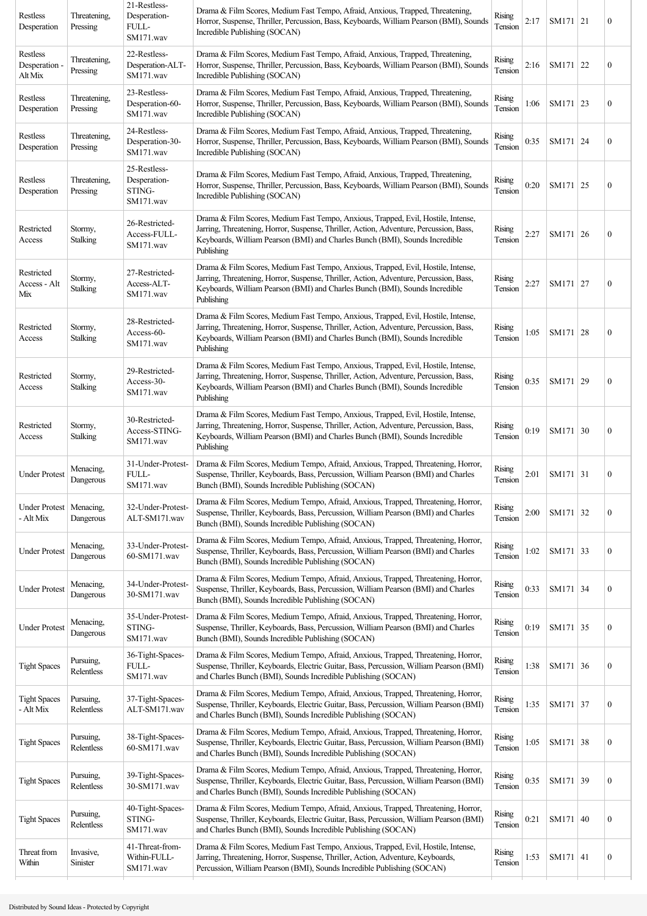| Restless<br>Desperation              | Threatening,<br>Pressing | 21-Restless-<br>Desperation-<br>FULL-<br>SM171.wav  | Drama & Film Scores, Medium Fast Tempo, Afraid, Anxious, Trapped, Threatening,<br>Horror, Suspense, Thriller, Percussion, Bass, Keyboards, William Pearson (BMI), Sounds<br>Incredible Publishing (SOCAN)                                                                | Rising<br>Tension        | 2:17 | SM171 21 |    | $\boldsymbol{0}$ |
|--------------------------------------|--------------------------|-----------------------------------------------------|--------------------------------------------------------------------------------------------------------------------------------------------------------------------------------------------------------------------------------------------------------------------------|--------------------------|------|----------|----|------------------|
| Restless<br>Desperation -<br>Alt Mix | Threatening,<br>Pressing | 22-Restless-<br>Desperation-ALT-<br>SM171.wav       | Drama & Film Scores, Medium Fast Tempo, Afraid, Anxious, Trapped, Threatening,<br>Horror, Suspense, Thriller, Percussion, Bass, Keyboards, William Pearson (BMI), Sounds<br>Incredible Publishing (SOCAN)                                                                | Rising<br>Tension        | 2:16 | SM171 22 |    | $\boldsymbol{0}$ |
| Restless<br>Desperation              | Threatening,<br>Pressing | 23-Restless-<br>Desperation-60-<br>SM171.wav        | Drama & Film Scores, Medium Fast Tempo, Afraid, Anxious, Trapped, Threatening,<br>Horror, Suspense, Thriller, Percussion, Bass, Keyboards, William Pearson (BMI), Sounds<br>Incredible Publishing (SOCAN)                                                                | Rising<br>Tension        | 1:06 | SM171 23 |    | $\boldsymbol{0}$ |
| Restless<br>Desperation              | Threatening,<br>Pressing | 24-Restless-<br>Desperation-30-<br>SM171.wav        | Drama & Film Scores, Medium Fast Tempo, Afraid, Anxious, Trapped, Threatening,<br>Horror, Suspense, Thriller, Percussion, Bass, Keyboards, William Pearson (BMI), Sounds<br>Incredible Publishing (SOCAN)                                                                | Rising<br>Tension        | 0:35 | SM171 24 |    | $\boldsymbol{0}$ |
| Restless<br>Desperation              | Threatening,<br>Pressing | 25-Restless-<br>Desperation-<br>STING-<br>SM171.wav | Drama & Film Scores, Medium Fast Tempo, Afraid, Anxious, Trapped, Threatening,<br>Horror, Suspense, Thriller, Percussion, Bass, Keyboards, William Pearson (BMI), Sounds<br>Incredible Publishing (SOCAN)                                                                | Rising<br>Tension        | 0:20 | SM171 25 |    | $\boldsymbol{0}$ |
| Restricted<br>Access                 | Stormy,<br>Stalking      | 26-Restricted-<br>Access-FULL-<br>SM171.wav         | Drama & Film Scores, Medium Fast Tempo, Anxious, Trapped, Evil, Hostile, Intense,<br>Jarring, Threatening, Horror, Suspense, Thriller, Action, Adventure, Percussion, Bass,<br>Keyboards, William Pearson (BMI) and Charles Bunch (BMI), Sounds Incredible<br>Publishing | <b>Rising</b><br>Tension | 2:27 | SM171 26 |    | $\boldsymbol{0}$ |
| Restricted<br>Access - Alt<br>Mix    | Stormy,<br>Stalking      | 27-Restricted-<br>Access-ALT-<br>SM171.wav          | Drama & Film Scores, Medium Fast Tempo, Anxious, Trapped, Evil, Hostile, Intense,<br>Jarring, Threatening, Horror, Suspense, Thriller, Action, Adventure, Percussion, Bass,<br>Keyboards, William Pearson (BMI) and Charles Bunch (BMI), Sounds Incredible<br>Publishing | Rising<br>Tension        | 2:27 | SM171 27 |    | $\boldsymbol{0}$ |
| Restricted<br>Access                 | Stormy,<br>Stalking      | 28-Restricted-<br>Access-60-<br>SM171.wav           | Drama & Film Scores, Medium Fast Tempo, Anxious, Trapped, Evil, Hostile, Intense,<br>Jarring, Threatening, Horror, Suspense, Thriller, Action, Adventure, Percussion, Bass,<br>Keyboards, William Pearson (BMI) and Charles Bunch (BMI), Sounds Incredible<br>Publishing | Rising<br>Tension        | 1:05 | SM171    | 28 | $\boldsymbol{0}$ |
| Restricted<br>Access                 | Stormy,<br>Stalking      | 29-Restricted-<br>Access-30-<br>SM171.wav           | Drama & Film Scores, Medium Fast Tempo, Anxious, Trapped, Evil, Hostile, Intense,<br>Jarring, Threatening, Horror, Suspense, Thriller, Action, Adventure, Percussion, Bass,<br>Keyboards, William Pearson (BMI) and Charles Bunch (BMI), Sounds Incredible<br>Publishing | Rising<br>Tension        | 0:35 | SM171    | 29 | $\boldsymbol{0}$ |
| Restricted<br>Access                 | Stormy,<br>Stalking      | 30-Restricted-<br>Access-STING-<br>SM171.wav        | Drama & Film Scores, Medium Fast Tempo, Anxious, Trapped, Evil, Hostile, Intense,<br>Jarring, Threatening, Horror, Suspense, Thriller, Action, Adventure, Percussion, Bass,<br>Keyboards, William Pearson (BMI) and Charles Bunch (BMI), Sounds Incredible<br>Publishing | <b>Rising</b><br>Tension | 0:19 | SM171 30 |    | $\boldsymbol{0}$ |
| <b>Under Protest</b>                 | Menacing,<br>Dangerous   | 31-Under-Protest-<br>FULL-<br>SM171.wav             | Drama & Film Scores, Medium Tempo, Afraid, Anxious, Trapped, Threatening, Horror,<br>Suspense, Thriller, Keyboards, Bass, Percussion, William Pearson (BMI) and Charles<br>Bunch (BMI), Sounds Incredible Publishing (SOCAN)                                             | Rising<br>Tension        | 2:01 | SM171 31 |    | $\boldsymbol{0}$ |
| <b>Under Protest</b><br>- Alt Mix    | Menacing,<br>Dangerous   | 32-Under-Protest-<br>ALT-SM171.wav                  | Drama & Film Scores, Medium Tempo, Afraid, Anxious, Trapped, Threatening, Horror,<br>Suspense, Thriller, Keyboards, Bass, Percussion, William Pearson (BMI) and Charles<br>Bunch (BMI), Sounds Incredible Publishing (SOCAN)                                             | <b>Rising</b><br>Tension | 2:00 | SM171 32 |    | $\boldsymbol{0}$ |
| <b>Under Protest</b>                 | Menacing,<br>Dangerous   | 33-Under-Protest-<br>60-SM171.wav                   | Drama & Film Scores, Medium Tempo, Afraid, Anxious, Trapped, Threatening, Horror,<br>Suspense, Thriller, Keyboards, Bass, Percussion, William Pearson (BMI) and Charles<br>Bunch (BMI), Sounds Incredible Publishing (SOCAN)                                             | Rising<br>Tension        | 1:02 | SM171 33 |    | $\boldsymbol{0}$ |
| <b>Under Protest</b>                 | Menacing,<br>Dangerous   | 34-Under-Protest-<br>30-SM171.wav                   | Drama & Film Scores, Medium Tempo, Afraid, Anxious, Trapped, Threatening, Horror,<br>Suspense, Thriller, Keyboards, Bass, Percussion, William Pearson (BMI) and Charles<br>Bunch (BMI), Sounds Incredible Publishing (SOCAN)                                             | Rising<br>Tension        | 0:33 | SM171 34 |    | $\boldsymbol{0}$ |
| <b>Under Protest</b>                 | Menacing,<br>Dangerous   | 35-Under-Protest-<br>STING-<br>SM171.wav            | Drama & Film Scores, Medium Tempo, Afraid, Anxious, Trapped, Threatening, Horror,<br>Suspense, Thriller, Keyboards, Bass, Percussion, William Pearson (BMI) and Charles<br>Bunch (BMI), Sounds Incredible Publishing (SOCAN)                                             | Rising<br>Tension        | 0:19 | SM171 35 |    | $\boldsymbol{0}$ |
| <b>Tight Spaces</b>                  | Pursuing,<br>Relentless  | 36-Tight-Spaces-<br>FULL-<br>SM171.wav              | Drama & Film Scores, Medium Tempo, Afraid, Anxious, Trapped, Threatening, Horror,<br>Suspense, Thriller, Keyboards, Electric Guitar, Bass, Percussion, William Pearson (BMI)<br>and Charles Bunch (BMI), Sounds Incredible Publishing (SOCAN)                            | Rising<br>Tension        | 1:38 | SM171 36 |    | $\boldsymbol{0}$ |
| <b>Tight Spaces</b><br>- Alt Mix     | Pursuing,<br>Relentless  | 37-Tight-Spaces-<br>ALT-SM171.wav                   | Drama & Film Scores, Medium Tempo, Afraid, Anxious, Trapped, Threatening, Horror,<br>Suspense, Thriller, Keyboards, Electric Guitar, Bass, Percussion, William Pearson (BMI)<br>and Charles Bunch (BMI), Sounds Incredible Publishing (SOCAN)                            | Rising<br>Tension        | 1:35 | SM171 37 |    | $\boldsymbol{0}$ |
| <b>Tight Spaces</b>                  | Pursuing,<br>Relentless  | 38-Tight-Spaces-<br>60-SM171.wav                    | Drama & Film Scores, Medium Tempo, Afraid, Anxious, Trapped, Threatening, Horror,<br>Suspense, Thriller, Keyboards, Electric Guitar, Bass, Percussion, William Pearson (BMI)<br>and Charles Bunch (BMI), Sounds Incredible Publishing (SOCAN)                            | Rising<br>Tension        | 1:05 | SM171 38 |    | $\boldsymbol{0}$ |
| <b>Tight Spaces</b>                  | Pursuing,<br>Relentless  | 39-Tight-Spaces-<br>30-SM171.wav                    | Drama & Film Scores, Medium Tempo, Afraid, Anxious, Trapped, Threatening, Horror,<br>Suspense, Thriller, Keyboards, Electric Guitar, Bass, Percussion, William Pearson (BMI)<br>and Charles Bunch (BMI), Sounds Incredible Publishing (SOCAN)                            | Rising<br>Tension        | 0:35 | SM171 39 |    | $\boldsymbol{0}$ |
| <b>Tight Spaces</b>                  | Pursuing,<br>Relentless  | 40-Tight-Spaces-<br>STING-<br>SM171.wav             | Drama & Film Scores, Medium Tempo, Afraid, Anxious, Trapped, Threatening, Horror,<br>Suspense, Thriller, Keyboards, Electric Guitar, Bass, Percussion, William Pearson (BMI)<br>and Charles Bunch (BMI), Sounds Incredible Publishing (SOCAN)                            | Rising<br>Tension        | 0:21 | SM171    | 40 | $\boldsymbol{0}$ |
| Threat from<br>Within                | Invasive,<br>Sinister    | 41-Threat-from-<br>Within-FULL-<br>SM171.wav        | Drama & Film Scores, Medium Fast Tempo, Anxious, Trapped, Evil, Hostile, Intense,<br>Jarring, Threatening, Horror, Suspense, Thriller, Action, Adventure, Keyboards,<br>Percussion, William Pearson (BMI), Sounds Incredible Publishing (SOCAN)                          | Rising<br>Tension        | 1:53 | SM171    | 41 | $\boldsymbol{0}$ |
|                                      |                          |                                                     |                                                                                                                                                                                                                                                                          |                          |      |          |    |                  |